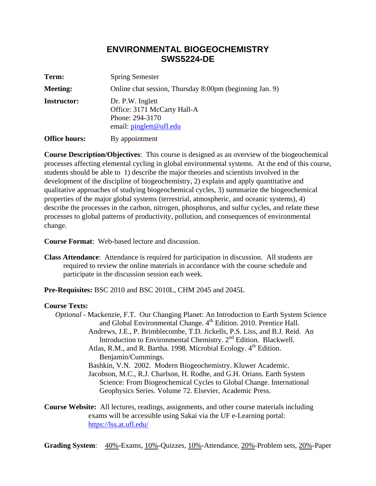## **ENVIRONMENTAL BIOGEOCHEMISTRY SWS5224-DE**

| Term:                | <b>Spring Semester</b>                                                                        |  |  |  |  |  |
|----------------------|-----------------------------------------------------------------------------------------------|--|--|--|--|--|
| <b>Meeting:</b>      | Online chat session, Thursday 8:00pm (beginning Jan. 9)                                       |  |  |  |  |  |
| <b>Instructor:</b>   | Dr. P.W. Inglett<br>Office: 3171 McCarty Hall-A<br>Phone: 294-3170<br>email: pinglett@ufl.edu |  |  |  |  |  |
| <b>Office hours:</b> | By appointment                                                                                |  |  |  |  |  |

**Course Description/Objectives**: This course is designed as an overview of the biogeochemical processes affecting elemental cycling in global environmental systems. At the end of this course, students should be able to 1) describe the major theories and scientists involved in the development of the discipline of biogeochemistry, 2) explain and apply quantitative and qualitative approaches of studying biogeochemical cycles, 3) summarize the biogeochemical properties of the major global systems (terrestrial, atmospheric, and oceanic systems), 4) describe the processes in the carbon, nitrogen, phosphorus, and sulfur cycles, and relate these processes to global patterns of productivity, pollution, and consequences of environmental change.

**Course Format**: Web-based lecture and discussion.

**Class Attendance**: Attendance is required for participation in discussion. All students are required to review the online materials in accordance with the course schedule and participate in the discussion session each week.

**Pre-Requisites:** BSC 2010 and BSC 2010L, CHM 2045 and 2045L

## **Course Texts:**

*Optional -* Mackenzie, F.T. Our Changing Planet: An Introduction to Earth System Science and Global Environmental Change. 4<sup>th</sup> Edition. 2010. Prentice Hall. Andrews, J.E., P. Brimblecombe, T.D. Jickells, P.S. Liss, and B.J. Reid. An Introduction to Environmental Chemistry. 2<sup>nd</sup> Edition. Blackwell. Atlas, R.M., and R. Bartha. 1998. Microbial Ecology.  $4<sup>th</sup>$  Edition. Benjamin/Cummings. Bashkin, V.N. 2002. Modern Biogeochemistry. Kluwer Academic. Jacobson, M.C., R.J. Charlson, H. Rodhe, and G.H. Orians. Earth System Science: From Biogeochemical Cycles to Global Change. International Geophysics Series. Volume 72. Elsevier, Academic Press.

## **Course Website:** All lectures, readings, assignments, and other course materials including exams will be accessible using Sakai via the UF e-Learning portal: https://lss.at.ufl.edu/

**Grading System**: 40%-Exams, 10%-Quizzes, 10%-Attendance, 20%-Problem sets, 20%-Paper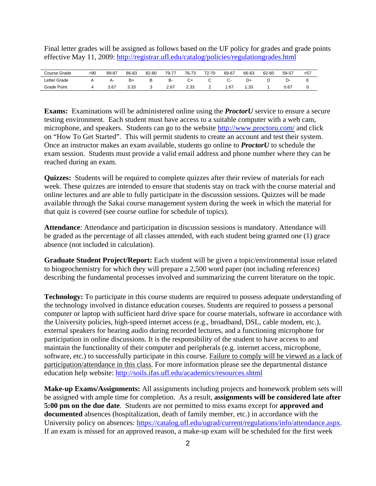Final letter grades will be assigned as follows based on the UF policy for grades and grade points effective May 11, 2009: http://registrar.ufl.edu/catalog/policies/regulationgrades.html

| Course Grade | >90 | 89-87 | 86-83 | 82-80 | 79-77 | 76-73 | 72-70 | 69-67 | 66-63 | 62-60 | 59-57 | $57$ |
|--------------|-----|-------|-------|-------|-------|-------|-------|-------|-------|-------|-------|------|
| Letter Grade |     | д.    | B+    |       | в-    | C+    |       |       | D+    |       |       | -    |
| Grade Point  |     | 3.67  | 3.33  |       | 2.67  | 2.33  |       | .67   | 1.33  |       | 0.67  |      |

**Exams:** Examinations will be administered online using the *ProctorU* service to ensure a secure testing environment. Each student must have access to a suitable computer with a web cam, microphone, and speakers. Students can go to the website http://www.proctoru.com/ and click on "How To Get Started". This will permit students to create an account and test their system. Once an instructor makes an exam available, students go online to *ProctorU* to schedule the exam session. Students must provide a valid email address and phone number where they can be reached during an exam.

**Quizzes:** Students will be required to complete quizzes after their review of materials for each week. These quizzes are intended to ensure that students stay on track with the course material and online lectures and are able to fully participate in the discussion sessions. Quizzes will be made available through the Sakai course management system during the week in which the material for that quiz is covered (see course outline for schedule of topics).

**Attendance**: Attendance and participation in discussion sessions is mandatory. Attendance will be graded as the percentage of all classes attended, with each student being granted one (1) grace absence (not included in calculation).

**Graduate Student Project/Report:** Each student will be given a topic/environmental issue related to biogeochemistry for which they will prepare a 2,500 word paper (not including references) describing the fundamental processes involved and summarizing the current literature on the topic.

**Technology:** To participate in this course students are required to possess adequate understanding of the technology involved in distance education courses. Students are required to possess a personal computer or laptop with sufficient hard drive space for course materials, software in accordance with the University policies, high-speed internet access (e.g., broadband, DSL, cable modem, etc.), external speakers for hearing audio during recorded lectures, and a functioning microphone for participation in online discussions. It is the responsibility of the student to have access to and maintain the functionality of their computer and peripherals (e.g. internet access, microphone, software, etc.) to successfully participate in this course. Failure to comply will be viewed as a lack of participation/attendance in this class. For more information please see the departmental distance education help website: http://soils.ifas.ufl.edu/academics/resources.shtml

**Make-up Exams/Assignments:** All assignments including projects and homework problem sets will be assigned with ample time for completion. As a result, **assignments will be considered late after 5:00 pm on the due date**. Students are not permitted to miss exams except for **approved and documented** absences (hospitalization, death of family member, etc.) in accordance with the University policy on absences: https://catalog.ufl.edu/ugrad/current/regulations/info/attendance.aspx. If an exam is missed for an approved reason, a make-up exam will be scheduled for the first week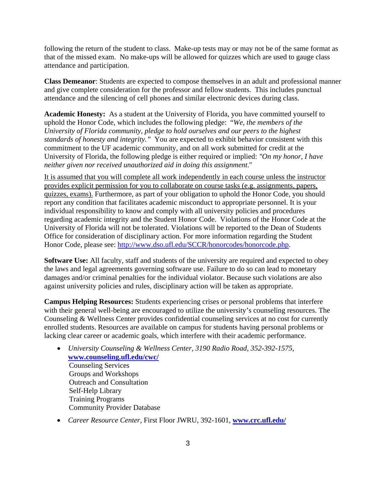following the return of the student to class. Make-up tests may or may not be of the same format as that of the missed exam. No make-ups will be allowed for quizzes which are used to gauge class attendance and participation.

**Class Demeanor**: Students are expected to compose themselves in an adult and professional manner and give complete consideration for the professor and fellow students. This includes punctual attendance and the silencing of cell phones and similar electronic devices during class.

**Academic Honesty:** As a student at the University of Florida, you have committed yourself to uphold the Honor Code, which includes the following pledge: "*We, the members of the University of Florida community, pledge to hold ourselves and our peers to the highest standards of honesty and integrity."* You are expected to exhibit behavior consistent with this commitment to the UF academic community, and on all work submitted for credit at the University of Florida, the following pledge is either required or implied: *"On my honor, I have neither given nor received unauthorized aid in doing this assignment*."

It is assumed that you will complete all work independently in each course unless the instructor provides explicit permission for you to collaborate on course tasks (e.g. assignments, papers, quizzes, exams). Furthermore, as part of your obligation to uphold the Honor Code, you should report any condition that facilitates academic misconduct to appropriate personnel. It is your individual responsibility to know and comply with all university policies and procedures regarding academic integrity and the Student Honor Code. Violations of the Honor Code at the University of Florida will not be tolerated. Violations will be reported to the Dean of Students Office for consideration of disciplinary action. For more information regarding the Student Honor Code, please see: http://www.dso.ufl.edu/SCCR/honorcodes/honorcode.php.

**Software Use:** All faculty, staff and students of the university are required and expected to obey the laws and legal agreements governing software use. Failure to do so can lead to monetary damages and/or criminal penalties for the individual violator. Because such violations are also against university policies and rules, disciplinary action will be taken as appropriate.

**Campus Helping Resources:** Students experiencing crises or personal problems that interfere with their general well-being are encouraged to utilize the university's counseling resources. The Counseling & Wellness Center provides confidential counseling services at no cost for currently enrolled students. Resources are available on campus for students having personal problems or lacking clear career or academic goals, which interfere with their academic performance.

- *University Counseling & Wellness Center, 3190 Radio Road, 352-392-1575,* **www.counseling.ufl.edu/cwc/** Counseling Services Groups and Workshops Outreach and Consultation Self-Help Library Training Programs Community Provider Database
- *Career Resource Center,* First Floor JWRU, 392-1601, **www.crc.ufl.edu/**